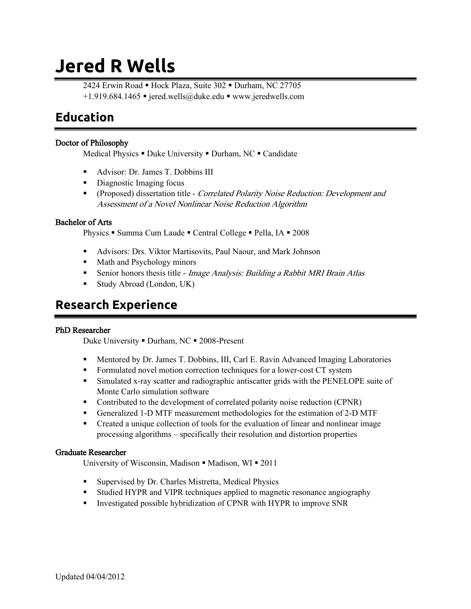# **Jered R Wells**

2424 Erwin Road • Hock Plaza, Suite 302 • Durham, NC 27705  $+1.919.684.1465$  = jered.wells@duke.edu = www.jeredwells.com

### **Education**

#### Doctor of Philosophy

Medical Physics  $\blacksquare$  Duke University  $\blacksquare$  Durham, NC  $\blacksquare$  Candidate

- Advisor: Dr. James T. Dobbins III
- **Diagnostic Imaging focus**
- **•** (Proposed) dissertation title *Correlated Polarity Noise Reduction: Development and* Assessment of a Novel Nonlinear Noise Reduction Algorithm

#### Bachelor of Arts

Physics • Summa Cum Laude • Central College • Pella, IA • 2008

- Advisors: Drs. Viktor Martisovits, Paul Naour, and Mark Johnson
- **Math and Psychology minors**
- Senior honors thesis title *Image Analysis: Building a Rabbit MRI Brain Atlas*
- Study Abroad (London, UK)

### **Research Experience**

#### PhD Researcher

Duke University • Durham, NC • 2008-Present

- Mentored by Dr. James T. Dobbins, III, Carl E. Ravin Advanced Imaging Laboratories
- Formulated novel motion correction techniques for a lower-cost CT system
- Simulated x-ray scatter and radiographic antiscatter grids with the PENELOPE suite of Monte Carlo simulation software
- Contributed to the development of correlated polarity noise reduction (CPNR)
- Generalized 1-D MTF measurement methodologies for the estimation of 2-D MTF
- Created a unique collection of tools for the evaluation of linear and nonlinear image processing algorithms – specifically their resolution and distortion properties

#### Graduate Researcher

University of Wisconsin, Madison  $\blacksquare$  Madison, WI $\blacksquare$  2011

- **Supervised by Dr. Charles Mistretta, Medical Physics**
- Studied HYPR and VIPR techniques applied to magnetic resonance angiography
- Investigated possible hybridization of CPNR with HYPR to improve SNR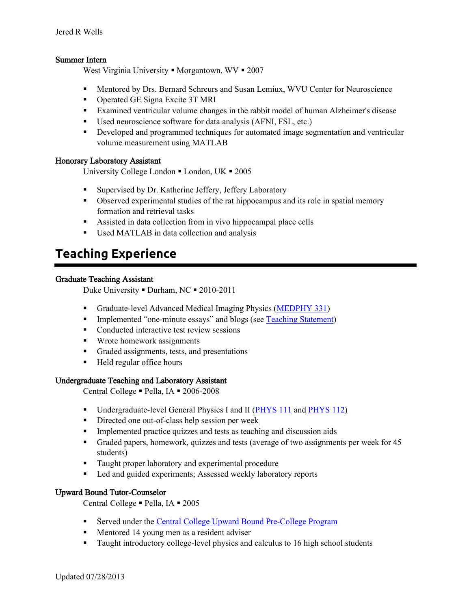#### Summer Intern

West Virginia University  $\blacksquare$  Morgantown, WV  $\blacksquare$  2007

- **Mentored by Drs. Bernard Schreurs and Susan Lemiux, WVU Center for Neuroscience**
- **Operated GE Signa Excite 3T MRI**
- Examined ventricular volume changes in the rabbit model of human Alzheimer's disease
- Used neuroscience software for data analysis (AFNI, FSL, etc.)
- Developed and programmed techniques for automated image segmentation and ventricular volume measurement using MATLAB

#### Honorary Laboratory Assistant

University College London  $\blacksquare$  London, UK  $\blacksquare$  2005

- **Supervised by Dr. Katherine Jeffery, Jeffery Laboratory**
- Observed experimental studies of the rat hippocampus and its role in spatial memory formation and retrieval tasks
- Assisted in data collection from in vivo hippocampal place cells
- Used MATLAB in data collection and analysis

### **Teaching Experience**

#### Graduate Teaching Assistant

Duke University • Durham, NC • 2010-2011

- Graduate-level Advanced Medical Imaging Physics [\(MEDPHY 331\)](https://sites.google.com/site/jeredwells/materials/MEDPHY331Syllabus2010.PDF)
- Implemented "one-minute essays" and blogs (see [Teaching Statement\)](https://sites.google.com/site/jeredwells/materials/Teaching_Statement_Jered_Wells.pdf)
- Conducted interactive test review sessions
- **Wrote homework assignments**
- Graded assignments, tests, and presentations
- Held regular office hours

#### Undergraduate Teaching and Laboratory Assistant

Central College · Pella, IA · 2006-2008

- Undergraduate-level General Physics I and II [\(PHYS](https://sites.google.com/site/jeredwells/materials/PHYS111Syllabus2006.PDF) 111 an[d PHYS 112\)](https://sites.google.com/site/jeredwells/materials/PHYS112Syllabus2006.PDF)
- Directed one out-of-class help session per week
- **Implemented practice quizzes and tests as teaching and discussion aids**
- Graded papers, homework, quizzes and tests (average of two assignments per week for 45 students)
- **Taught proper laboratory and experimental procedure**
- Led and guided experiments; Assessed weekly laboratory reports

#### Upward Bound Tutor-Counselor

Central College · Pella, IA · 2005

- Served under the [Central College Upward Bound Pre-College Program](http://www.central.edu/upwardbound)
- **Mentored 14 young men as a resident adviser**
- Taught introductory college-level physics and calculus to 16 high school students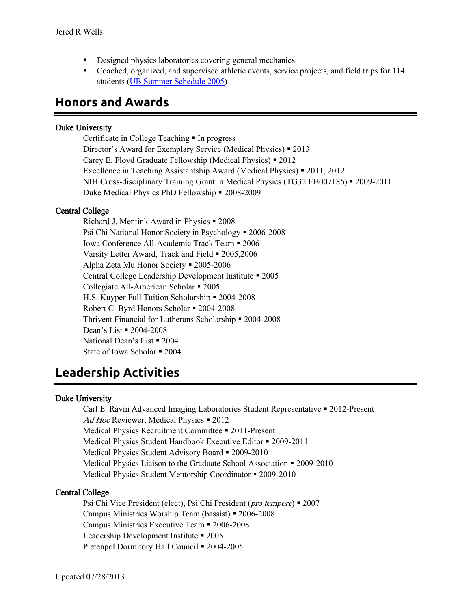- Designed physics laboratories covering general mechanics
- Coached, organized, and supervised athletic events, service projects, and field trips for 114 students [\(UB Summer Schedule 2005\)](https://sites.google.com/site/jeredwells/materials/Upward_Bound_2005_schedule.PDF)

### **Honors and Awards**

#### Duke University

Certificate in College Teaching **I**n progress Director's Award for Exemplary Service (Medical Physics) 2013 Carey E. Floyd Graduate Fellowship (Medical Physics) 2012 Excellence in Teaching Assistantship Award (Medical Physics) **•** 2011, 2012 NIH Cross-disciplinary Training Grant in Medical Physics (TG32 EB007185) = 2009-2011 Duke Medical Physics PhD Fellowship  $\blacksquare$  2008-2009

#### Central College

Richard J. Mentink Award in Physics  $\blacksquare$  2008 Psi Chi National Honor Society in Psychology = 2006-2008 Iowa Conference All-Academic Track Team 2006 Varsity Letter Award, Track and Field  $\blacksquare$  2005,2006 Alpha Zeta Mu Honor Society = 2005-2006 Central College Leadership Development Institute 2005 Collegiate All-American Scholar = 2005 H.S. Kuyper Full Tuition Scholarship  $\approx 2004-2008$ Robert C. Byrd Honors Scholar = 2004-2008 Thrivent Financial for Lutherans Scholarship 2004-2008 Dean's List **=** 2004-2008 National Dean's List **2004** State of Iowa Scholar = 2004

### **Leadership Activities**

#### Duke University

Carl E. Ravin Advanced Imaging Laboratories Student Representative 2012-Present Ad Hoc Reviewer, Medical Physics  $\blacksquare$  2012 Medical Physics Recruitment Committee **•** 2011-Present Medical Physics Student Handbook Executive Editor • 2009-2011 Medical Physics Student Advisory Board **-** 2009-2010 Medical Physics Liaison to the Graduate School Association **•** 2009-2010 Medical Physics Student Mentorship Coordinator = 2009-2010

#### Central College

Psi Chi Vice President (elect), Psi Chi President (*pro tempore*) **•** 2007 Campus Ministries Worship Team (bassist) 2006-2008 Campus Ministries Executive Team 2006-2008 Leadership Development Institute **-** 2005 Pietenpol Dormitory Hall Council **•** 2004-2005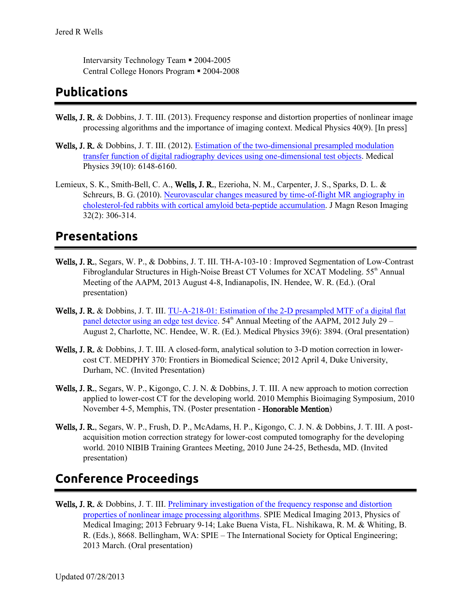Intervarsity Technology Team • 2004-2005 Central College Honors Program 2004-2008

### **Publications**

- Wells, J. R. & Dobbins, J. T. III. (2013). Frequency response and distortion properties of nonlinear image processing algorithms and the importance of imaging context. Medical Physics 40(9). [In press]
- Wells, J. R. & Dobbins, J. T. III. (2012). Estimation of the two-dimensional presampled modulation [transfer function of digital radiography devices using one-dimensional test objects.](http://online.medphys.org/resource/1/mphya6/v39/i10/p6148_s1) Medical Physics 39(10): 6148-6160.
- Lemieux, S. K., Smith-Bell, C. A., Wells, J. R., Ezerioha, N. M., Carpenter, J. S., Sparks, D. L. & Schreurs, B. G. (2010). [Neurovascular changes measured by time-of-flight MR angiography in](http://www.linkedin.com/redir/redirect?url=http%3A%2F%2Fwww%2Encbi%2Enlm%2Enih%2Egov%2Fpubmed%3Fterm%3DPMID%253A%252020677255&urlhash=kJtV)  [cholesterol-fed rabbits with cortical amyloid beta-peptide accumulation.](http://www.linkedin.com/redir/redirect?url=http%3A%2F%2Fwww%2Encbi%2Enlm%2Enih%2Egov%2Fpubmed%3Fterm%3DPMID%253A%252020677255&urlhash=kJtV) J Magn Reson Imaging 32(2): 306-314.

### **Presentations**

- Wells, J. R., Segars, W. P., & Dobbins, J. T. III. TH-A-103-10 : Improved Segmentation of Low-Contrast Fibroglandular Structures in High-Noise Breast CT Volumes for XCAT Modeling. 55<sup>th</sup> Annual Meeting of the AAPM, 2013 August 4-8, Indianapolis, IN. Hendee, W. R. (Ed.). (Oral presentation)
- Wells, J. R. & Dobbins, J. T. III. TU-A-218-01: Estimation of the 2-D presampled MTF of a digital flat [panel detector using an edge test device.](http://online.medphys.org/resource/1/mphya6/v39/i6/p3894_s1)  $54<sup>th</sup>$  Annual Meeting of the AAPM, 2012 July 29 – August 2, Charlotte, NC. Hendee, W. R. (Ed.). Medical Physics 39(6): 3894. (Oral presentation)
- Wells, J. R. & Dobbins, J. T. III. A closed-form, analytical solution to 3-D motion correction in lowercost CT. MEDPHY 370: Frontiers in Biomedical Science; 2012 April 4, Duke University, Durham, NC. (Invited Presentation)
- Wells, J. R., Segars, W. P., Kigongo, C. J. N. & Dobbins, J. T. III. A new approach to motion correction applied to lower-cost CT for the developing world. 2010 Memphis Bioimaging Symposium, 2010 November 4-5, Memphis, TN. (Poster presentation - Honorable Mention)
- Wells, J. R., Segars, W. P., Frush, D. P., McAdams, H. P., Kigongo, C. J. N. & Dobbins, J. T. III. A postacquisition motion correction strategy for lower-cost computed tomography for the developing world. 2010 NIBIB Training Grantees Meeting, 2010 June 24-25, Bethesda, MD. (Invited presentation)

# **Conference Proceedings**

Wells, J. R. & Dobbins, J. T. III. Preliminary investigation of the frequency response and distortion [properties of nonlinear image processing algorithms.](http://spie.org/x648.xml?product_id=2008549) SPIE Medical Imaging 2013, Physics of Medical Imaging; 2013 February 9-14; Lake Buena Vista, FL. Nishikawa, R. M. & Whiting, B. R. (Eds.), 8668. Bellingham, WA: SPIE – The International Society for Optical Engineering; 2013 March. (Oral presentation)